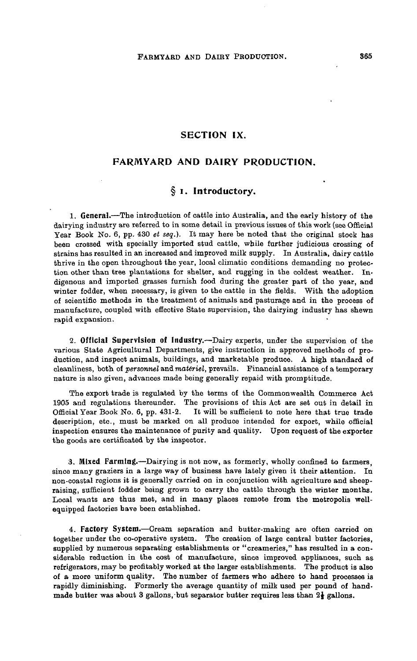## **SECTION IX.**

## **FARMYARD AND DAIRY PRODUCTION.**

# **§ i. Introductory.**

**1. General.**—The introduction of cattle into Australia, and the early history of the dairying industry are referred to in some detail in previous issues of this work (see Official Year Book No. 6, pp. 430 *et seq.*). It may here be noted that the original stock has been crossed with specially imported stud cattle, while further judicious crossing of strains has resulted in an increased and improved milk supply. In Australia, dairy cattle thrive in the open throughout the year, local climatic conditions demanding no protection other than tree plantations for shelter, and rugging in the coldest weather. Indigenous and imported grasses furnish food during the greater part of the year, and winter fodder, when necessary, is given to the cattle in the fields. With the adoption of scientific methods in the treatment of animals and pasturage and in the process of manufacture, coupled with effective State supervision, the dairying industry has shewn rapid expansion.

**2. Official Supervision of Industry.**—Dairy experts, under the supervision of the various State Agricultural Departments, give instruction in approved methods of production, and inspect animals, buildings, and marketable produce. A high standard of cleanliness, both of *personnel* and *materiel*, prevails. Financial assistance of a temporary nature is also given, advances made being generally repaid with promptitude.

The export trade is regulated by the terms of the Commonwealth Commerce Act 1905 and regulations thereunder. The provisions of this Act are set out in detail in Official Year Book No. 6, pp. 431-2. It will be sufficient to note here that true trade description, etc., must be marked on all produce intended for export, while official inspection ensures the maintenance of purity and quality. Upon request of the exporter the goods are certificated by the inspector.

**3. Mixed Farming.**—Dairying is not now, as formerly, wholly confined to farmers, since many graziers in a large way of business have lately given it their attention. In non-coastal regions it is generally carried on in conjunction with agriculture and sheepraising, sufficient fodder being grown to carry the cattle through the winter months. Local wants are thus met, and in many places remote from the metropolis wellequipped factories have been established.

**4. Factory System.**—Cream separation and butter-making are often carried on together under the co-operative system. The creation of large central butter factories, supplied by numerous separating establishments or "creameries," has resulted in a considerable reduction in the cost of manufacture, since improved appliances, such as refrigerators, may be profitably worked at the larger establishments. The product is also of a more uniform quality. The number of farmers who adhere to hand processes is rapidly diminishing. Formerly the average quantity of milk used per pound of handmade butter was about 3 gallons, but separator butter requires less than  $2\frac{1}{3}$  gallons.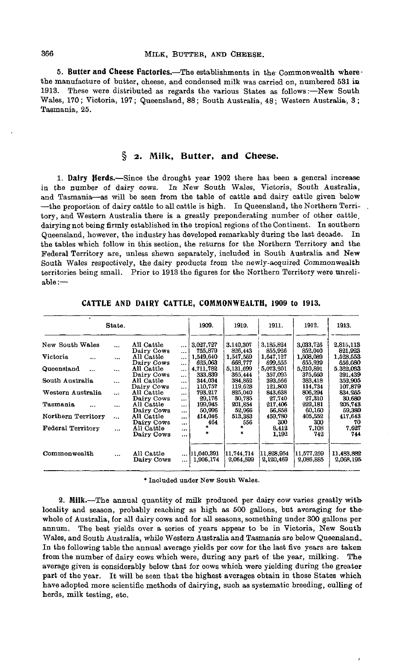**5. Butter and Cheese Factories.**—The establishments in the Commonwealth wherethe manufacture of butter, cheese, and condensed milk was carried on, numbered 531 in 1913. These were distributed as regards the various States as follows:—New South Wales, 170; Victoria, 197; Queensland, 88; South Australia, 48; Western Australia, 3; Tasmania, 25.

# **§ 2. Milk, Butter, and Cheese.**

**1. Dairy Herds.**—Since the drought year 1902 there has been a general increase in the number of dairy cows. In New South Wales, Victoria, South Australia, and Tasmania—as will be seen from the table of cattle and dairy cattle given below —the proportion of dairy cattle to all cattle is high. In Queensland, the Northern Territory, and Western Australia there is a greatly preponderating number of other cattle, dairying not being firmly established in the tropical regions of the Continent. In southern Queensland, however, the industry has developed remarkably during the last decade. In the tables which follow in this section, the returns for the Northern Territory and the Federal Territory are, unless shewn separately, included in South Australia and New South Wales respectively, the dairy products from the newly-acquired Commonwealth territories being small. Prior to 1913 the figures for the Northern Territory were unreliable:—

|                      | State.    |                                        |                                  | 1909.                   | 1910.                   | 1911.                   | 1912.                   | 1913.                   |
|----------------------|-----------|----------------------------------------|----------------------------------|-------------------------|-------------------------|-------------------------|-------------------------|-------------------------|
| New South Wales      | $\ddotsc$ | All Cattle<br>Dairy Cows               | $\cdots$<br>$\cdots$             | 3.027,727<br>755,879    | 3.140.307<br>826,443    | 3,185,824<br>855,926    | 3,033,726<br>852,040    | 2.815,113<br>821,923    |
| Victoria<br>$\cdots$ | $\cdots$  | All Cattle<br>Dairy Cows               | $\cdots$                         | 1,549,640<br>625.063    | 1,547,569<br>668.777    | 1,647,127<br>699.555    | 1,508,089<br>655.939    | 1,528,553<br>656.080    |
| Queensland           | $\ddotsc$ | All Cattle                             | $\cdots$<br>$\cdots$             | 4,711,782               | 5.131,699               | 5,073,201               | 5,210,891<br>375,660    | 5,322,033               |
| South Australia      | $\ddotsc$ | Dairy Cows<br>All Cattle               | $\ddotsc$<br>$\ddotsc$           | 333,839<br>344,034      | 365,444<br>384.862      | 357,095<br>393,566      | 383.418                 | 391,439<br>352,905      |
| Western Australia    | $\ddotsc$ | Dairy Cows<br>All Cattle               | $\ddotsc$<br>$\ddotsc$           | 110.757<br>793.217      | 119.628<br>825,040      | 121.803<br>843,638      | 114.734<br>806.294      | 107.879<br>834.265      |
| Tasmania<br>$\cdots$ | $\ddotsc$ | Dairy Cows<br>All Cattle               | $\ddotsc$<br>$\ddotsc$           | 29,176<br>199,945       | 30,785<br>201,854       | 27,740<br>217,406       | 27.310<br>222,181       | 30.680<br>205,743       |
| Northern Territory   | $\ddotsc$ | Dairy Cows<br>All Cattle               | $\ddotsc$<br>$\ddotsc$           | 50,996<br>414,046       | 52,966<br>513,383       | 56,858<br>459,780       | 60.160<br>405,552       | 59,380<br>417,643       |
| Federal Territory    | $\cdots$  | Dairy Cows<br>All Cattle<br>Dairy Cows | $\cdots$<br>$\cdots$<br>$\cdots$ | 464<br>*<br>*           | 556                     | 300<br>8.412<br>1,192   | 300<br>7,108<br>742     | 70<br>7.627<br>744      |
| Commonwealth         |           | All Cattle<br>Dairy Cows               | $\cdots$                         | 11.040.391<br>1,906,174 | 11.744.714<br>2,064,599 | 11.828.954<br>2,120,469 | 11.577.259<br>2,086,885 | 11,483,882<br>2,068,195 |

**CATTLE AND DAIRY CATTLE, COMMONWEALTH, 1909 to 1913.**

\* Included under New South Wales.

**2. Milk.**—The annual quantity of milk produced per dairy cow varies greatly with, locality and season, probably reaching as high as 500 gallons, but averaging for thewhole of Australia, for all dairy cows and for all seasons, something under 300 gallons per annum. The best yields over a series of years appear to be in Victoria, New South Wales, and South Australia, while Western Australia and Tasmania are below Queensland.. In the following table the annual average yields per cow for the last five years are taken from the number of dairy cows which were, during any part of the year, milking. The average given is considerably below that for cows which were yielding during the greater part of the year. It will be seen that the highest averages obtain in those States which have adopted more scientific methods of dairying, such as systematic breeding, culling of herds, milk testing, etc.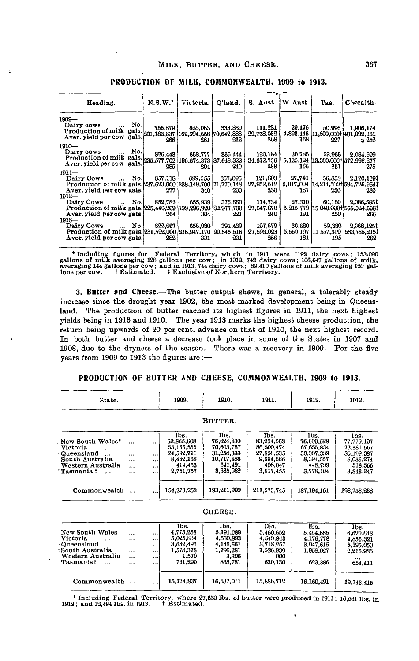| Heading.                                                                                                                    | N.S.W.  | Victoria. | Q'land. | S. Aust.   W. Aust. |                | Tas.                        | C'wealth.                                         |
|-----------------------------------------------------------------------------------------------------------------------------|---------|-----------|---------|---------------------|----------------|-----------------------------|---------------------------------------------------|
| $1909 -$                                                                                                                    |         |           |         |                     |                |                             |                                                   |
| Dairy cows  No.                                                                                                             | 755.879 | 625.063   | 333,839 | 111,221             | 29,176         | 50.996                      | 1.906.174                                         |
| Production of milk gals. 201,183,337 162,994,658 70,642,888<br>Aver. yield per cow gals. 201,183,337 162,994,658 70,642,888 |         |           |         | 29,778,032          |                |                             | 4,893,446 11,600,000 1481,092,361                 |
|                                                                                                                             | 266     | 261       | 212     | 268                 | 168            | 227                         | ა 252                                             |
| $1910 -$                                                                                                                    |         |           |         |                     |                |                             |                                                   |
| No.l<br>Dairy cows                                                                                                          | 826,443 | 668.777   | 365,444 | 120.184             | 30,785         | 52.966                      | 2.064.599                                         |
| Production of milk gals. 235,577,702 196,674,373 87,648,322<br>Aver. yield per cow gals. 235,577,702 196,674,373 87,648,322 |         |           |         | 34,672,756          |                |                             | 5,125,124 13,300,000+ 572,998,277                 |
|                                                                                                                             | 285     | 294       | 240.    | 288                 | 166            | 251                         | 278                                               |
| $1911 -$                                                                                                                    |         |           |         |                     |                |                             |                                                   |
| Dairy Cows  No.                                                                                                             | 857.118 | 699.555   | 357,095 | 121,803             | 27.740         | 56,858                      | 2,120,1691                                        |
| Production of milk gals. 237,623,000 238,149,700 71,770,148                                                                 |         |           |         |                     |                |                             | 27,952,612   5,017,004   14,214,500 + 594,726,964 |
| Aver, yield per cow gals.                                                                                                   | 277     | 340       | 200     | 230                 | 181            | 250                         | 280                                               |
| $1912 -$                                                                                                                    |         |           |         |                     |                |                             |                                                   |
| Dairy Cows  No.   852,782                                                                                                   |         | 655,939   | 375,660 |                     | 114.734 27.310 | 60.160                      | 2.086.5851                                        |
| Production of milk gala. 225,446,209 (199,296,920 [82,977,730]                                                              |         |           |         | 27,547,870          |                |                             | 5, 215, 779 15 040 000 555, 524, 5081             |
| Aver, yield percow gals.                                                                                                    | 264     | 304       | 221     | 240                 | 191            | 250                         | 266                                               |
| $1913 -$                                                                                                                    |         |           |         |                     |                |                             |                                                   |
| Dairy Cows  No.                                                                                                             | 822.667 | 656.080   | 391.439 | 107.879             | 30.680         | 59.380                      | 2,068,1251                                        |
| Production of milk gals.[231,592,000] 216,947,170 [90,545,516]<br>Aver, yield per cow gals.                                 | 282     |           | 231     | 27,593,023<br>256   | 181            | 5,550,197 11 557,309<br>195 | 1583, 785, 2151<br>282                            |
|                                                                                                                             |         | 331       |         |                     |                |                             |                                                   |

#### **PRODUCTION OF MILK, COMMONWEALTH, 1909 to 1913.**

\* Including figures for Federal Territory, which in 1911 were 1192 dairy cows; 153,090 gallons of milk averaging 128 gallons per cow; in 1912, 742 dairy cows; 106,647 gallons of milk, averaging 144 gallons per cow; and in

3. Butter and Cheese.—The butter output shews, in general, a tolerably steady increase since the drought year 1902, the most marked development being in Queensland. The production of butter reached its highest figures in 1911, the next highest yields being in 1913 and 1910. The year 1913 marks the highest cheese production, the return being upwards of 20 per cent, advance on that of 1910, the next highest record. In both butter and cheese a decrease took place in some of the States in 1907 and 1908, due to the dryness of the season. There was a recovery in 1909. For the five years from 1909 to 1913 the figures are:—

#### **PRODUCTION OF BUTTER AND CHEESE, COMMONWEALTH, 1909 to 1913.**

| State.                                                                                                                           |                                                                    | 1909.                                                                                                                                                    | 1910.                                                                                               | 1911.                                                                                              | 1912.                                                                                                | 1913.                                                                                              |
|----------------------------------------------------------------------------------------------------------------------------------|--------------------------------------------------------------------|----------------------------------------------------------------------------------------------------------------------------------------------------------|-----------------------------------------------------------------------------------------------------|----------------------------------------------------------------------------------------------------|------------------------------------------------------------------------------------------------------|----------------------------------------------------------------------------------------------------|
|                                                                                                                                  |                                                                    |                                                                                                                                                          | BUTTER.                                                                                             |                                                                                                    |                                                                                                      |                                                                                                    |
| New South Wales*<br>Victoria<br><br>Queensland<br>$\cdots$<br>South Australia<br>Western Australia<br>Tasmania t<br>Commonwealth | $\cdots$<br>$\cdots$<br>$\ddotsc$<br>$\cdots$<br><br><br>$\ddotsc$ | lbs.<br>62,865,608<br><br>55.166,555<br>$\cdots$<br>24,592,711<br>$\cdots$<br>8.482.168<br>$\cdots$<br>414.453<br><br>2.751.757<br><br>154, 273, 252<br> | lbs.<br>76.624.830<br>70.603.787<br>31,258,333<br>10.717.486<br>641.491<br>3,365,982<br>193,211,909 | lbs.<br>83.204.568<br>86.500.474<br>27,858,535<br>9.694.666<br>498.047<br>3,817,455<br>211,573,745 | lbs.<br>76,609.528<br>67.655.834<br>30,307,339<br>8.394.557<br>448.799<br>3,778,104<br>187, 194, 161 | lbs.<br>77,779,197<br>73,381,567<br>35.199.387<br>8.036.274<br>518,566<br>3,843,247<br>198,758,238 |
|                                                                                                                                  |                                                                    |                                                                                                                                                          | CHEESE.                                                                                             |                                                                                                    |                                                                                                      |                                                                                                    |
| New South Wales<br>Victoria<br>$\ddotsc$<br>Oueensland<br>South Australia<br>Western Australia<br>Tasmaniat<br>$\ddotsc$         | <br><br><br><br>$\ddotsc$<br>                                      | lbs.<br>4.775.268<br><br>5,025,834<br><br>3.662,497<br><br>1,578,378<br><br>1.570<br><br>731,290<br>                                                     | lbs.<br>5.191.089<br>4,530,893<br>4,146,661<br>1,796,281<br>3,306<br>868.781                        | lbs.<br>5.460.652<br>4.549.843<br>3,718,257<br>1.526.930<br>900<br>630,130                         | lbs.<br>5,454,685<br>4,176,778<br>3,947,615<br>1,958,027<br>623,386                                  | lbs.<br>6,620,648<br>4.856.321<br>5.395.050<br>2,216,985<br>654,411                                |
| Commonwealth                                                                                                                     |                                                                    | 15,774,837<br>                                                                                                                                           | 16,537,011                                                                                          | 15,886,712                                                                                         | 16,160,491                                                                                           | 19,743,415                                                                                         |

\* Including Federal Territory, where 27,630 lbs. of butter were produced in 1911; 16,561 lbs. in 1913.  $\pm$  Estimated.

Ñ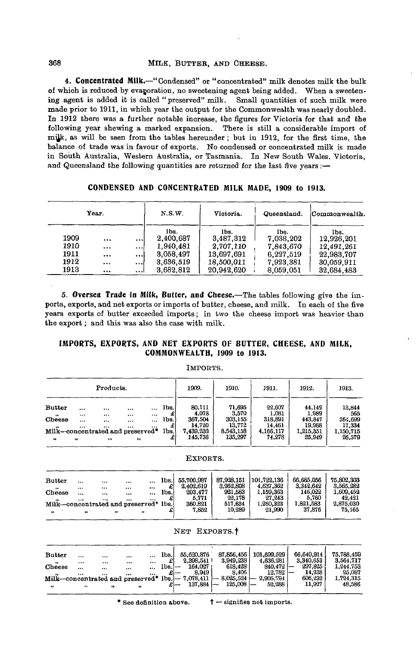## 368 MILK, BUTTER, AND CHEESE.

**4. Concentrated Milk.**—"Condensed" or "concentrated" milk denotes milk the bulk of which is reduced by evaporation, no sweetening agent being added. When a sweetening agent is added it is called " preserved" milk. Small quantities of such milk were made prior to 1911, in which year the output for the Commonwealth was nearly doubled. In 1912 there was a further notable increase, the figures for Victoria for that and the following year shewing a marked expansion. There is still a considerable import of mjjk, as will be seen from the tables hereunder ; but in 1912, for the first time, the balance of trade was in favour of exports. No condensed or concentrated milk is made in South Australia, Western Australia, or Tasmania. In New South Wales, Victoria, and Queensland the following quantities are returned for the last five years :-

|      | Year.    |          | N.S.W.    | Victoria.  | Commonwealth. |            |
|------|----------|----------|-----------|------------|---------------|------------|
|      |          |          | lbs.      | Ibs.       | Ibs.          | lbs.       |
| 1909 | $\cdots$ |          | 2,400.687 | 3,487,312  | 7.038.202     | 12.926.201 |
| 1910 |          | $\cdots$ | 1.940.481 | 2.707,110  | 7.843.670     | 12,491,261 |
| 1911 |          | $\cdots$ | 3.058,497 | 13.697.691 | 6.227.519     | 22,983,707 |
| 1912 |          | $\cdots$ | 3.636.519 | 18.500.011 | 7,923,381     | 30.059.911 |
| 1913 | $\cdots$ |          | 3,682,812 | 20,942.620 | 8.059.051     | 32,684,483 |

**CONDENSED AND CONCENTRATED MILK MADE, 1909 to 1913.**

**5. Oversea Trade in Milk, Butter, and Cheese.**—The tables following give the imports, exports, and net exports or imports of butter, cheese, and milk. In each of the five years exports of butter exceeded imports; in two the cheese import was heavier than the export; and this was also the case with milk.

## **IMPORTS, EXPORTS, AND NET EXPORTS OF BUTTER, CHEESE, AND MILK, COMMONWEALTH, 1909 to 1913.**

#### IMPORTS.

|                                  |       | Products.    |      |              |      | 1909.               | 1910.               | 1911.               | 1912.               | 1913.               |
|----------------------------------|-------|--------------|------|--------------|------|---------------------|---------------------|---------------------|---------------------|---------------------|
| <b>Butter</b>                    |       | $\cdots$     |      |              | lbs. | 80.111              | 71,695              | 22.607              | 44,142              | 13,844              |
| $\bullet$<br>Cheese              |       |              |      | $\cdots$<br> | lbs. | 4.078<br>367,504    | 3.570<br>303,155    | 1,081<br>318,891    | 1,989<br>443.847    | 565<br>364.699      |
| Milk-concentrated and preserved* | .<br> | <br>         | <br> |              | lbs. | 14.720<br>7,439,232 | 13.772<br>8,543,158 | 14.461<br>4,166,117 | 19,988<br>1,215,351 | 17,334<br>1,150,715 |
| $\bullet$                        | 89    | $^{\bullet}$ | ٠,   |              | £    | 145.736             | 135,297             | 74.278              | 25,949              | 26,579              |

|                                       |              |          |                      |              |      | EXPORTS.   |            |             |            |            |
|---------------------------------------|--------------|----------|----------------------|--------------|------|------------|------------|-------------|------------|------------|
| <b>Butter</b>                         |              |          |                      |              | lbs. | 55,700,987 | 87.928.151 | 101.722.136 | 66,685,056 | 75,802,303 |
|                                       | $\cdots$     | $\cdots$ |                      | $\cdots$     |      | 2.402.619  | 3,952,808  | 4,637,362   | 3,342,642  | 3,565,282  |
| $\bullet$<br>Cheese                   | <br>$\cdots$ | <br>     | $\cdots$<br>$\cdots$ | <br>$\cdots$ | lbs. | 203,477    | 921.583    | 1,159,363   | 146.022    | 1,609,452  |
| $\cdot$                               |              |          |                      | $\cdots$     |      | 5,771      | 22.178     | 27.243      | 5,760      | 42,421     |
| Milk-concentrated and preserved* lbs. |              |          |                      |              |      | 360,821    | 517,634    | 1,260,323   | 1,821,583  | 2,875,030  |
| $\bullet$                             | $\bullet$    |          | $\bullet\bullet$     | $^{11}$      |      | 7,852      | 10.289     | 21,990      | 37,876     | 75,165     |

NET EXPORTS.

| <b>Butter</b>       |           |          |                                                   | lbs.<br>$\cdots$ |                | 55.620.876  | 87.856.456   | 101.699.529 | 66.640.914 | 75.788.459 |
|---------------------|-----------|----------|---------------------------------------------------|------------------|----------------|-------------|--------------|-------------|------------|------------|
| $\bullet\bullet$    |           |          | $\cdots$                                          |                  |                | 2.398,541   | 3.949.238    | 4,636,281   | 3.340.653  | 3.564.717  |
| Cheese              | $\ddotsc$ |          |                                                   | Ibs.<br>         | -              | 164.027     | 618.428      | 840.472     | 297,825    | 1.244.753  |
|                     | $\cdots$  | $\cdots$ |                                                   |                  |                | 8.949       | 8.406        | 12.782      | 14.228     | 25,087     |
|                     |           |          | Milk-concentrated and preserved <sup>*</sup> lbs. |                  | $\overline{ }$ | 7.078.411   | $-8.025.524$ | 2,905,794   | 606,232    | 1.724.315  |
| $^{\bullet\bullet}$ |           |          |                                                   |                  |                | $137,884$ - | 125,008      | 52.288      | 11,927     | 48.586     |
|                     |           |          |                                                   |                  |                |             |              |             |            |            |

\* See definition above.  $\uparrow$  - signifies net imports.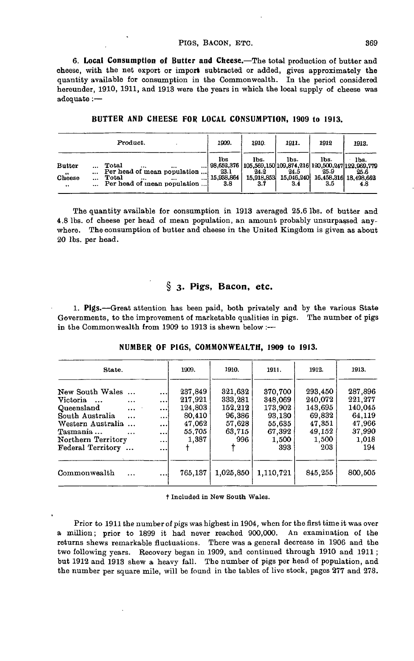#### PIGS, BACON, ETC. 369

**6. Local Consumption of Butter and Cheese.**—The total production of butter and cheese, with the net export or import subtracted or added, gives approximately the quantity available for consumption in the Commonwealth. In the period considered hereunder, 1910, 1911, and 1913 were the years in which the local supply of cheese was adequate :—

| Product.                                                                                                                                                                                                            | 1909.                            | 1910.                                                                                             | 1911.                             | 1912                | 1913.                                        |
|---------------------------------------------------------------------------------------------------------------------------------------------------------------------------------------------------------------------|----------------------------------|---------------------------------------------------------------------------------------------------|-----------------------------------|---------------------|----------------------------------------------|
| Total<br><b>Butter</b><br>$\cdots$<br>$\cdots$<br>$\cdots$<br>Per head of mean population<br>Cheese<br>Total<br>$\cdots$<br>$\cdots$<br><br>$\cdots$<br>Per head of mean population<br>$\bullet\bullet$<br>$\cdots$ | 1bs<br>23.1<br>15,938,864<br>3.8 | lbs.<br>98,652,376   105,569,150 109,874,216 120,500,247 122,969,779<br>24.2<br>15.918.853<br>3.7 | lbs.<br>24.5<br>15.046.240<br>3.4 | lbs.<br>25.9<br>3.5 | lbs.<br>25.6<br>16,458,316 18,498,662<br>4.8 |

**BUTTER AND CHEESE FOR LOCAL CONSUMPTION, 1909 to 1913.**

The quantity available for consumption in 1913 averaged 25.6 Ibs. of butter and 4.8 Ibs. of cheese per head of mean population, an amount probably unsurpassed anywhere. The consumption of butter and cheese in the United Kingdom is given as about 20 Ibs. per head.

# **§ 3. Pigs, Bacon, etc.**

1. Pigs.—Great attention has been paid, both privately and by the various State Governments, to the improvement of marketable qualities in pigs. The number of pigs in the Commonwealth from 1909 to 1913 is shewn below :-

| State.                                                                                                                                                                                   |                                                                                      | 1909.                                                                | 1910.                                                              | 1911.                                                                       | 1912.                                                                       | 1913.                                                                       |
|------------------------------------------------------------------------------------------------------------------------------------------------------------------------------------------|--------------------------------------------------------------------------------------|----------------------------------------------------------------------|--------------------------------------------------------------------|-----------------------------------------------------------------------------|-----------------------------------------------------------------------------|-----------------------------------------------------------------------------|
| New South Wales<br>Victoria<br>$\cdots$<br>Queensland<br>$\cdots$<br>South Australia<br>$\cdots$<br>Western Australia<br>Tasmania<br>$\cdots$<br>Northern Territory<br>Federal Territory | $\cdots$<br>$\ddotsc$<br>$\ddotsc$<br>$\cdots$<br>$\cdots$<br>$\ddotsc$<br>$\ddotsc$ | 237,849<br>217,921<br>124,803<br>80,410<br>47.062<br>55.705<br>1,387 | 321,632<br>333,281<br>152.212<br>96,386<br>57,628<br>63.715<br>996 | 370,700<br>348.069<br>173.902<br>93,130<br>55.635<br>67,392<br>1,500<br>393 | 293,450<br>240.072<br>143,695<br>69,832<br>47,351<br>49.152<br>1,500<br>203 | 287,896<br>221.277<br>140,045<br>64.119<br>47,966<br>37,990<br>1,018<br>194 |
| Commonwealth<br>$\ddotsc$                                                                                                                                                                | $\cdots$<br>                                                                         | 765,137                                                              | 1.025,850                                                          | 1.110.721                                                                   | 845,255                                                                     | 800,505                                                                     |

**NUMBER OF PIGS, COMMONWEALTH, 1909 to 1913.**

t Included in New South Wales.

Prior to 1911 the number of pigs was highest in 1904, when for the first time it was over a million; prior to 1899 it had never reached 900,000. An examination of the returns shews remarkable fluctuations. There was a general decrease in 1906 and the two following years. Recovery began in 1909, and continued through 1910 and 1911 ; but 1912 and 1913 shew a heavy fall. The number of pigs per head of population, and the number per square mile, will be found in the tables of live stock, pages 277 and 278.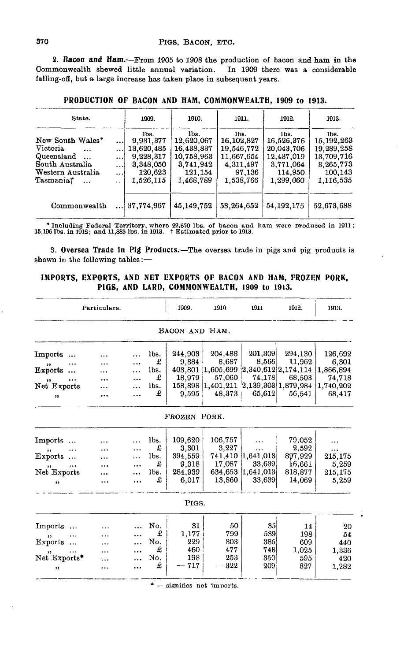**2. Bacon and Ham.** — From 1905 to 1908 the production of bacon and ham **in** the Commonwealth shewed little annual variation. In 1909 there was a considerable falling-ofi, but a large increase has taken place in subsequent years.

| State.                                                                                                                   |                                                       | 1909.                                                                             | 1910.                                                                               | 1911.                                                                                | 1912.                                                                               | 1913.                                                                                 |
|--------------------------------------------------------------------------------------------------------------------------|-------------------------------------------------------|-----------------------------------------------------------------------------------|-------------------------------------------------------------------------------------|--------------------------------------------------------------------------------------|-------------------------------------------------------------------------------------|---------------------------------------------------------------------------------------|
| New South Wales*<br>Victoria.<br>$\cdots$<br>Queensland<br>South Australia<br>Western Australia<br>Tasmania†<br>$\cdots$ | <br>!<br>$\cdots$<br>$\cdots$<br>$\ddot{\phantom{0}}$ | lbs.<br>9,931,377<br>13,620,485<br>9,228,317<br>3,348,050<br>120.623<br>1.526.115 | lbs.<br>12,620,067<br>16.438.837<br>10,758,963<br>3,741,942<br>121.154<br>1.468.789 | lbs.<br>16, 102, 827<br>19.546.772<br>11,667,654<br>4,311,497<br>97.136<br>1.538.766 | lbs.<br>16,526,376<br>20.043.706<br>12,437,019<br>3,771,064<br>114,950<br>1.299.060 | lbs.<br>15, 192, 263<br>19,289,258<br>13,709,716<br>3,265,773<br>100.143<br>1,116,535 |
| Commonwealth                                                                                                             |                                                       | 37,774,967                                                                        | 45.149.752                                                                          | 53.264.652                                                                           | 54.192.175                                                                          | 52,673,688                                                                            |

**PRODUCTION OF BACON AND HAM, COMMONWEALTH, 1909 to 1913.**

\* Including Federal Territory, where 22,670 Ibs. of bacon and ham were produced in 1911; 15,196 Ibs. in 1912; and 11,885 Ibs. in 1913. t Estimated prior to 1913.

**3. Oversea Trade in Pig Products.**—The oversea trade in pigs and pig products is shewn in the following tables:—

## **IMPORTS, EXPORTS, AND NET EXPORTS OF BACON AND HAM, FROZEN PORK, PIGS, AND LARD, COMMONWEALTH, 1909 to 1913.**

|                                            | Particulars. |   |                | 1909.                      | 1910                                            | 1911                                    | 1912.             | 1913.                        |
|--------------------------------------------|--------------|---|----------------|----------------------------|-------------------------------------------------|-----------------------------------------|-------------------|------------------------------|
|                                            |              |   |                | BACON AND HAM.             |                                                 |                                         |                   |                              |
| $\bold{Im}$ ports                          |              |   | lbs.           | 244,903                    | 204,488                                         | 201,309                                 | 294,130           | 126,692                      |
| ,,<br>$\mathbf E$ xports                   |              |   | £<br>lbs.<br>£ | 9,384<br>403,801<br>18,979 | 8,687<br>$ 1,605,699\rangle$<br>57,060          | 8,566<br>[2,340,612]2,174,114<br>74,178 | 11,962<br>68,503  | 6,301<br>1,866,894<br>74,718 |
| ,,<br>Net Exports<br>,,                    |              |   | lbs.<br>£      | 9,595                      | 158,898 1,401,211 2,139,303 1,879,984<br>48,373 | 65,612                                  | 56,541            | 1,740,202<br>68,417          |
|                                            |              |   |                | FROZEN PORK.               |                                                 |                                         |                   |                              |
|                                            |              |   |                |                            |                                                 |                                         |                   |                              |
| Imports                                    |              |   | lbs.<br>£      | 109,620<br>3,301           | 106,757<br>3.227                                |                                         | 79,052<br>2.592   |                              |
| ,,<br>Exports                              |              |   | lbs.<br>£      | 394,559<br>9,318           | 741,410<br>17,087                               | <br>[1,641,013]<br>33,639               | 897,929<br>16,661 | .<br>215,175<br>5,259        |
| $\ddot{\phantom{1}}$<br>Net Exports<br>, , |              | . | lbs.<br>£      | 284,939<br>6,017           | 634,653<br>13,860                               | 1.641.013 <br>33,639                    | 818,877<br>14,069 | 215,175<br>5,259             |
|                                            |              |   |                |                            |                                                 |                                         |                   |                              |
|                                            |              |   |                | PIGS.                      |                                                 |                                         |                   |                              |
| Imports                                    |              |   | No.            | 31                         | 50                                              | 35 <sub>5</sub>                         | 14                | 20                           |
| ,,                                         |              |   | £<br>No.       | 1,177<br>229               | 799<br>303                                      | 539<br>385                              | 198               | 54                           |
| Exports                                    |              |   | £              | 460                        | 477                                             | 748                                     | 609<br>1,025      | 440<br>1,336                 |
| ,,<br>Net Exports*                         |              |   | No.            | 198                        | 253                                             | 350                                     | 595               | 420                          |
| , ,                                        |              |   | £              | 717                        | 322                                             | 209                                     | 827               | 1,282                        |

\* — signifies net imports.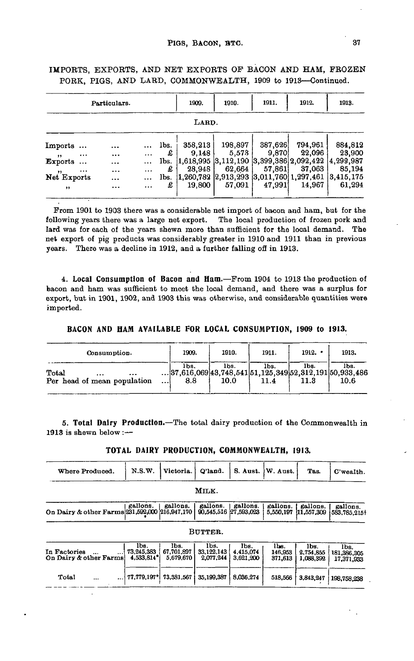|                          |                      | Particulars. |               |           | 1909.               | 1910.                                    | 1911.   | 1912.                          | 1913.                |  |  |  |
|--------------------------|----------------------|--------------|---------------|-----------|---------------------|------------------------------------------|---------|--------------------------------|----------------------|--|--|--|
| LARD.                    |                      |              |               |           |                     |                                          |         |                                |                      |  |  |  |
| Imports                  |                      |              | $\cdots$      | lbs.      | 358,213             | 198,897                                  | 387,626 | 794,961                        | 884,812              |  |  |  |
| $, \,$<br>Exports        | $\cdots$<br>$\cdots$ | $\cdots$<br> | <br>$\cdots$  | £<br>lbs. | 9.148<br> 1,618,995 | 5,573<br> 3,112,190                      | 9.870   | 22,096<br> 3,399,386 2,092,422 | 23,900<br>4,299,987  |  |  |  |
| $, \, \,$<br>Net Exports | $\cdots$             | $\cdots$<br> | $\ddotsc$<br> | £<br>lbs. | 28,948<br>1,260,782 | 62,664<br> 2,913,293 3,011,760 1,297,461 | 57,861  | 37,063                         | 85.194<br>13.415.175 |  |  |  |
| $^{\bullet}$             |                      |              | $\cdots$      | £         | 19.800              | 57.091                                   | 47,991  | 14.967                         | 61,294               |  |  |  |

IMPORTS, EXPORTS, AND NET EXPORTS OF BACON AND HAM, FROZEN PORK, PIGS, AND LARD, COMMONWEALTH, 1909 to 1913—Continued.

From 1901 to 1903 there was a considerable net import of bacon and ham, but for the following years there was a large net export. The local production of frozen pork and lard was for each of the years shewn more than sufficient for the local demand. The net export of pig products was considerably greater in 1910 and 1911 than in previous years. There was a decline in 1912, and a further falling off in 1913.

**4. Local Consumption of Bacon and Ham.**—From 1904 to 1913 the production of bacon and ham was sufficient to meet the local demand, and there was a surplus for export, but in 1901, 1902, and 1903 this was otherwise, and considerable quantities were imported.

**BACON AND HAM AVAILABLE FOR LOCAL CONSUMPTION, 1909 to 1913.**

| Consumption.                                              | 1909.                                                                          | 1910.        | 1911.        | 1912. | 1913.        |
|-----------------------------------------------------------|--------------------------------------------------------------------------------|--------------|--------------|-------|--------------|
| Total<br><br>$\cdots$<br>Per head of mean population<br>! | lbs.<br>$\dots$  37.616.069 43.748.541 51.125.349 52.312.191 50.933.486<br>8.8 | lbs.<br>10.0 | lbs.<br>11.4 | lbs.  | lbs.<br>10.6 |

**5. Total Dairy Production.—The** total dairy production of the Commonwealth in 1913 is shewn below : $-$ 

| TOTAL DAIRY PRODUCTION, COMMONWEALTH, 1913. |  |  |
|---------------------------------------------|--|--|
|---------------------------------------------|--|--|

| Where Produced.                                      | N.S.W.                                         | Victoria.                       | Q'land.                           | S. Aust.                       | W. Aust.                   | Tas.                           | C'wealth.                         |
|------------------------------------------------------|------------------------------------------------|---------------------------------|-----------------------------------|--------------------------------|----------------------------|--------------------------------|-----------------------------------|
|                                                      |                                                |                                 | MILK.                             |                                |                            |                                |                                   |
| On Dairy & other Farms 231,592,000 216,947,170       | gallons.                                       | gallons.                        | gallons.<br>90.545.516 27.593.023 | gallons.                       | gallons.<br>5,550,197      | gallons.<br>11,557,309         | gallons.<br>583.785.2151          |
|                                                      |                                                |                                 | BUTTER.                           |                                |                            |                                |                                   |
| In Factories<br>$\ddotsc$<br>On Dairy & other Farms! | lbs.<br>73.245.383<br>$4,533,814$ <sup>*</sup> | lbs.<br>67,701,897<br>5,679,670 | lbs.<br>33.122.143<br>2.077.244   | lbs.<br>4.415.074<br>3.621.200 | lbs.<br>146,953<br>371.613 | lbs.<br>2,754,855<br>1,088.392 | lbs.<br>181,386,305<br>17,371,933 |
| Total<br>$\cdots$<br>$\cdots$                        | $77,779,197*$                                  | 73,381,567                      | 35,199,387                        | 8,036,274                      | 518,566                    | 3,843,247                      | 198,758,238                       |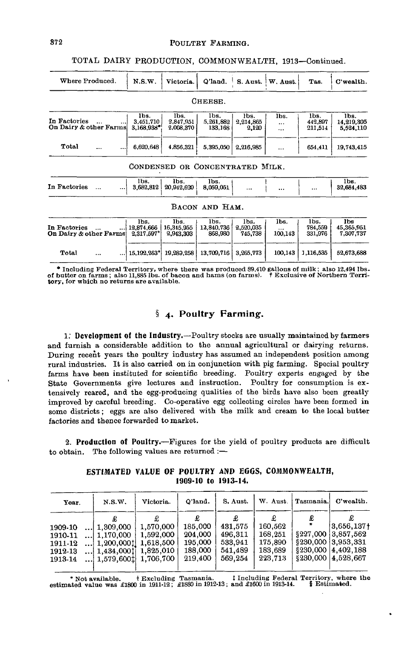## 372 POULTRY FARMING.

TOTAL DAIRY PRODUCTION, COMMONWEALTH, 1913—Continued.

| Where Produced.                                     | N.S.W.                            | Victoria.                       | Q'land.                         | S. Aust.                     | W. Aust.        | Tas.                       | C'wealth.                             |
|-----------------------------------------------------|-----------------------------------|---------------------------------|---------------------------------|------------------------------|-----------------|----------------------------|---------------------------------------|
|                                                     |                                   |                                 | CHEESE.                         |                              |                 |                            |                                       |
| In Factories<br>On Dairy & other Farms              | lbs.<br>3.451.710<br>$3.168.933*$ | lbs.<br>2,847,951<br>2.008.370  | lbs.<br>5.261.882<br>133,165    | lbs.<br>2.214.865<br>2,120   | lbs.<br><br>    | lbs.<br>442.897<br>211,514 | lbs.<br>14,219,305<br>5,524,110       |
| Total<br>$\ddotsc$                                  | 6,620,648                         | 4.856.321                       | 5,395,050                       | 2,216,985                    |                 | 654,411                    | 19,743.415                            |
|                                                     |                                   |                                 | CONDENSED OR CONCENTRATED MILK. |                              |                 |                            |                                       |
| In Factories<br>                                    | lbs.<br>3.682,812                 | lbs.<br>20,942,620              | lbs.<br>8,059,051               | $\ddotsc$                    | $\cdots$        | $\cdots$                   | lbs.<br>32,684,483                    |
|                                                     |                                   |                                 | BACON AND HAM.                  |                              |                 |                            |                                       |
| In Factories<br>$\ddotsc$<br>On Dairy & other Farms | lbs.<br>12,874,666<br>2.317.597*  | lbs.<br>16,345,955<br>2,943,303 | lbs.<br>12,840.736<br>868,980   | lbs.<br>2,520,035<br>745.738 | lbs.<br>100,143 | lbs.<br>784.559<br>331,976 | <b>Ibs</b><br>45.365,951<br>7.307.737 |
| Total<br><br>                                       | 15.192.263*                       | 19.289.258                      | 13,709,716                      | 3.265.773                    | 100.143         | 1,116,535                  | 52,673,688                            |

 $*$  Including Federal Territory, where there was produced 89,410 gallons of milk; also 12,494 lbs. of butter on farms; also 11,885 lbs. of bacon and hams (on farms).  $\dagger$  Exclusive of Northern Territory, for which no retu

# **§ 4. Poultry Farming.**

**1.' Development of the Industry.**—Poultry stocks are usually maintained by farmers and furnish a considerable addition to the annual agricultural or dairying returns. During recent years the poultry industry has assumed an independent position among rural industries. It is also carried on in conjunction with pig farming. Special poultry farms have been instituted for scientific breeding. Poultry experts engaged by the State Governments give lectures and instruction. Poultry for consumption is extensively reared, and the egg-producing qualities of the birds have also been greatly improved by careful breeding. Co-operative egg collecting circles have been formed in some districts; eggs are also delivered with the milk and cream to the local butter factories and thence forwarded to market.

**2. Production of Poultry.**—Figures for the yield of poultry products are difficult to obtain. The following values are returned :—

|  |                     |  | ESTIMATED VALUE OF POULTRY AND EGGS, COMMONWEALTH, |
|--|---------------------|--|----------------------------------------------------|
|  | 1909-10 to 1913-14. |  |                                                    |

| Year.                                               | Victoria.<br>N.S.W.                                                        |                                                                                      | Q'land.                                                  | S. Aust.                                            | W. Aust.                                            | Tasmania. | C'wealth.                                                                                                             |
|-----------------------------------------------------|----------------------------------------------------------------------------|--------------------------------------------------------------------------------------|----------------------------------------------------------|-----------------------------------------------------|-----------------------------------------------------|-----------|-----------------------------------------------------------------------------------------------------------------------|
| 1909-10<br>1910-11<br>1911-12<br>1912-13<br>1913-14 | $\dots 1,309,000$<br>$\dots$   1,170,000<br>$$   1,200,0001 <br>1.434,0001 | 1,570,000<br>1,592,000<br>1.618.500<br>1,825,010<br>$\ldots$   1,579,600‡  1,706,700 | £<br>185,000<br>204,000<br>195,000<br>188,000<br>219,400 | 431,575<br>496.311<br>533.941<br>541.489<br>569.254 | 160,562<br>168,251<br>175,890<br>183,689<br>223,713 |           | $3.656.137 +$<br>\$227,000 3.857,562<br>$$230,000 \;   3,953,331$<br>$$230,000 \mid 4,402,188$<br>\$230,000 4.528,667 |

\* Not available t Excluding Tasmania. t Including Federal Territory, where the estimated value was £1800 in 1911-12; £1880 in 1912-13; and £1600 in 1913-14. § Estimated.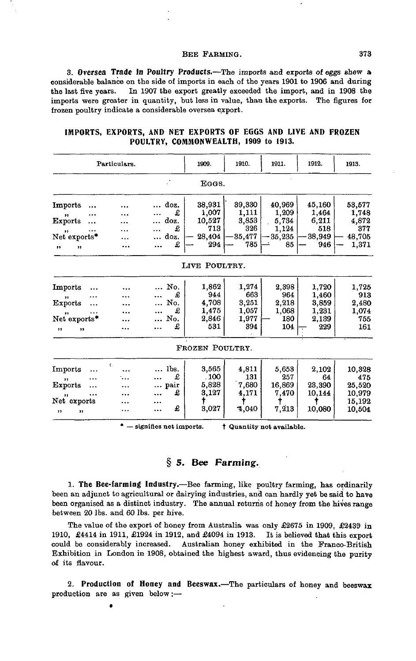#### BEE FARMING. 373

**3. Oversea Trade In Poultry Products.**—The imports and exports of eggs shew a considerable balance on the side of imports in each of the years 1901 to 1906 and during the last five years. In 1907 the export greatly exceeded the import, and in 1908 the imports were greater in quantity, but less in value, than the exports. The figures for frozen poultry indicate a considerable oversea export.

|                                | Particulars. |               | 1909.                  | 1910.                 | 1911.               | 1912.                 | 1913.                 |
|--------------------------------|--------------|---------------|------------------------|-----------------------|---------------------|-----------------------|-----------------------|
|                                |              |               | EGGS.                  |                       |                     |                       |                       |
| Imports                        |              | doz.<br>£     | 38,931                 | 39,330<br>1,111       | 40,969<br>1,209     | 45,160<br>1.464       | 53,577                |
| ,,<br><b>Exports</b>           |              | doz.<br>£     | 1,007<br>10,527<br>713 | 3,853<br>326          | 5,734<br>1,124      | 6,211<br>518          | 1,748<br>4,872<br>377 |
| ,,<br>Net exports*<br>,,<br>,, |              | doz.<br>£     | 28,404<br>294          | 35,477<br>785         | 35,235<br>85        | 38,949<br>946         | 48,705<br>1,371       |
|                                |              |               | LIVE POULTRY.          |                       |                     |                       |                       |
| Imports                        |              | No.           | 1.862                  | 1,274                 | 2.398               | 1,720                 | 1,725                 |
| ,,<br>Exports                  |              | £<br>No.      | 944<br>4,708           | 663<br>3,251          | 964<br>2,218        | 1,460<br>3,859        | 913<br>2,480          |
| ,,<br>Net exports*             |              | £<br>No.<br>£ | 1,475<br>2,846<br>531  | 1,057<br>1,977<br>394 | 1,068<br>180<br>104 | 1,231<br>2,139<br>229 | 1,074<br>755<br>161   |
| ,,<br>,,                       |              |               | FROZEN POULTRY.        |                       |                     |                       |                       |
| Imports                        | C.           | lbs.          | 3,565                  | 4.811                 | 5,653               | 2,102                 | 10,328                |
| <br>,,<br><b>Exports</b>       |              | £<br>pair     | . 100<br>5,828         | 131<br>7,680          | 257<br>16,869       | 64<br>23,390          | 475<br>25,520         |
| <br>,,<br>Net exports          |              | £<br><br>     | 3,127                  | 4,171                 | 7,470               | 10,144                | 10.979<br>15,192      |
| ,,<br>,,                       |              | £<br>         | 3,027                  | 4,040                 | 7,213               | 10,080                | 10,504                |

**IMPORTS, EXPORTS, AND NET EXPORTS OF EGGS AND LIVE AND FROZEN POULTRY, COMMONWEALTH, 1909 to 1913.**

 $'$   $-$  signifies net imports.  $\dagger$  Quantity not available.

# **§ 5. Bee Farming.**

**1. The Bee-farming Industry.**—Bee farming, like poultry farming, has ordinarily been an adjunct to agricultural or dairying industries, and can hardly yet be said to have been organised as a distinct industry. The annual returns of honey from the hives range between 20 Ibs. and 60 Ibs. per hive.

The value of the export of honey from Australia was only £2675 in 1909, *£*2439 in 1910, £4414 in 1911, £1924 in 1912, and £4094 in 1913. It is believed that this export could be considerably increased. Australian honey exhibited in the Franco-British Exhibition in London in 1908, obtained the highest award, thus evidencing the purity of its flavour.

**2. Production of Honey and Beeswax.**—The particulars of honey and beeswax production are as given below:—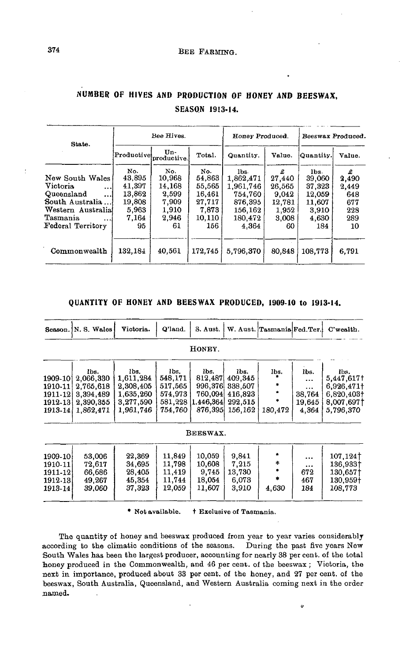| State.                                                                                                                                  |                                                                     | Bee Hives.                                                        |                                                                       | Honey Produced. |                                                                  | Beeswax Produced.                                                     |                                                       |  |
|-----------------------------------------------------------------------------------------------------------------------------------------|---------------------------------------------------------------------|-------------------------------------------------------------------|-----------------------------------------------------------------------|-----------------|------------------------------------------------------------------|-----------------------------------------------------------------------|-------------------------------------------------------|--|
|                                                                                                                                         | Productivel                                                         | Un-<br>productive.                                                | Total.                                                                | Quantity.       | Value.                                                           | Quantity.                                                             | Value.                                                |  |
| New South Wales<br>Victoria.<br>$\cdots$<br>Queensland<br><br>South Australia<br>Western Australia<br>Tasmania<br><br>Federal Territory | No.<br>43,895<br>41,397<br>13,862<br>19,808<br>5,963<br>7,164<br>95 | No.<br>10,968<br>14.168<br>2,599<br>7,909<br>1,910<br>2,946<br>61 | No.<br>54,863<br>55,565<br>16,461<br>27.717<br>7.873<br>10,110<br>156 |                 | £<br>27,440<br>26,565<br>9.042<br>12,781<br>1,952<br>3.008<br>60 | lbs.<br>39,060<br>37,323<br>12,059<br>11,607<br>3,910<br>4,630<br>184 | £<br>2,490<br>2,449<br>648<br>677<br>228<br>289<br>10 |  |
| Commonwealth                                                                                                                            | 132,184                                                             | 40.561                                                            | 172.745                                                               | 5,796,370       | 80,848                                                           | 108.773                                                               | 6.791                                                 |  |

# **NUMBER OF HIVES AND PRODUCTION OF HONEY AND BEESWAX, SEASON 1913-14.**

### **QUANTITY OF HONEY AND BEESWAX PRODUCED, 1909-10 to 1913-14.**

|                                                           | Season. N. S. Wales                                                   | Victoria.                                                             | Q'land.                                                     | S. Aust.                                                      |                                                             | W. Aust. Tasmania Fed. Ter.  |                                                            | C'wealth.                                                                 |  |  |  |  |  |
|-----------------------------------------------------------|-----------------------------------------------------------------------|-----------------------------------------------------------------------|-------------------------------------------------------------|---------------------------------------------------------------|-------------------------------------------------------------|------------------------------|------------------------------------------------------------|---------------------------------------------------------------------------|--|--|--|--|--|
|                                                           | HONEY.                                                                |                                                                       |                                                             |                                                               |                                                             |                              |                                                            |                                                                           |  |  |  |  |  |
| 1909-101<br>1910-11<br>1911-12<br>1912-13 <br>$1913 - 14$ | lbs.<br>2,066,330<br>2,765,618<br>3,394,489<br>2,390,355<br>1,862,471 | lbs.<br>1,611,284<br>2,308,405<br>1,635,260<br>3,277,590<br>1,961,746 | lbs.<br>548,171<br>517.565<br>574.973<br>581,228<br>754.760 | lbs.<br>812,487<br>996,376<br>760,094<br>1.446.364<br>876,395 | lbs.<br>409,345<br>338,507<br>416.823<br>292,515<br>156,162 | lbs.<br>٠<br>*<br>180,472    | lbs.<br>$\cdots$<br>$\ddotsc$<br>38,764<br>19,645<br>4,364 | lbs.<br>5.447,6171<br>6,926.471+<br>6.820.403+<br>8,007,697†<br>5.796,370 |  |  |  |  |  |
|                                                           |                                                                       |                                                                       |                                                             | <b>BEESWAX.</b>                                               |                                                             |                              |                                                            |                                                                           |  |  |  |  |  |
| $1909 - 10$<br>1910-11<br>1911-12<br>1912.13<br>1913-14   | 53,006<br>72,617<br>66,686<br>49,267<br>39,060                        | 22,369<br>34,695<br>28,405<br>45.354<br>37,323                        | 11,849<br>11,798<br>11,419<br>11,744<br>12,059              | 10,059<br>10,608<br>9,745<br>18,054<br>11,607                 | 9,841<br>7,215<br>13,730<br>6.073<br>3.910                  | *<br>٠<br>$\bullet$<br>4,630 | $\cdots$<br>$\cdots$<br>672<br>467<br>184                  | 107.124†<br>136,933†<br>130.657†<br>130.959+<br>108,773                   |  |  |  |  |  |

\* Not available. t Exclusive of Tasmania.

The quantity of honey and beeswax produced from year to year varies considerably according to the climatic conditions of the seasons. During the past five years New South Wales has been the largest producer, accounting for nearly 38 per cent, of the total honey produced in the Commonwealth, and 46 per cent, of the beeswax ; Victoria, the next in importance, produced about 33 per cent, of the honey, and 27 per cent, of the beeswax, South Australia, Queensland, and Western Australia coming next in the order named.

 $\ddot{\mathbf{v}}$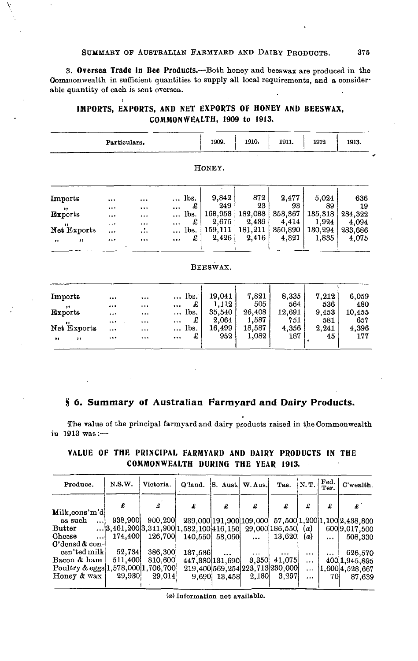## SUMMARY OF AUSTRALIAN FARMYARD AND DAIRY PRODUCTS. 375

**3. Oversea Trade In Bee Products.**—Both honey and beeswax are produced in the Commonwealth in sufficient quantities to supply all local requirements, and a considerable quantity of each is sent oversea.

# **IMPORTS, EXPORTS, AND NET EXPORTS OF HONEY AND BEESWAX, COMMONWEALTH, 1909 to 1913.**

\

|                  | Particulars. |           |                   | 1909.    | 1910.   | 1911.   | 1912    | 1913.   |  |  |  |  |
|------------------|--------------|-----------|-------------------|----------|---------|---------|---------|---------|--|--|--|--|
| HONEY.           |              |           |                   |          |         |         |         |         |  |  |  |  |
| <b>Imports</b>   |              |           | lbs.              | 9,842    | 872     | 2,477   | 5,024   | 636     |  |  |  |  |
| ,,               |              |           | £                 | 249      | 23      | 93      | 89      | 19      |  |  |  |  |
| Exports          | $\ddotsc$    |           | lbs.              | 168,953  | 182,083 | 353,367 | 135,318 | 284,322 |  |  |  |  |
| , ,              | $\cdots$     | $\ddotsc$ | £                 | 2,675    | 2,439   | 4,414   | 1,924   | 4,094   |  |  |  |  |
| Net Exports      | $\ddotsc$    |           | lbs.<br>$\cdots$  | 159,111  | 181,211 | 350,890 | 130,294 | 283,686 |  |  |  |  |
| ,,<br>$, \,$     |              |           | £                 | 2,426    | 2,416   | 4,321   | 1,835   | 4,075   |  |  |  |  |
|                  |              |           |                   | BEESWAX. |         |         |         |         |  |  |  |  |
| Imports          |              |           | lbs.<br>$\ddotsc$ | 19,041   | 7,821   | 8,335   | 7,212   | 6,059   |  |  |  |  |
| ,,               |              |           | £                 | 1,112    | 505     | 564     | 536     | 480     |  |  |  |  |
| <b>Exports</b>   |              | $\ddotsc$ | lbs.<br>          | 35,540   | 26,408  | 12,691  | 9,453   | 10,455  |  |  |  |  |
|                  |              | $\cdots$  | £                 | 2,064    | 1,587   | 751     | 581     | 657     |  |  |  |  |
| Net Exports      |              |           | lbs.              | 16,499   | 18,587  | 4,356   | 2,241   | 4,396   |  |  |  |  |
| $, \,$<br>$, \,$ |              | $\cdots$  | £<br>             | 952      | 1,082   | 187     | 45      | 177     |  |  |  |  |

### **§ 6. Summary of Australian Farmyard and Dairy Products.**

The value of the principal farmyard and dairy products raised in the Commonwealth **in** 1913 was :—

| Produce.                           | N.S.W.  | Victoria.                                 | O'land. | S. Aust. W. Aus.                   |          | Tas.           | N.T.     | Fed.<br>Ter. | C'wealth.                    |
|------------------------------------|---------|-------------------------------------------|---------|------------------------------------|----------|----------------|----------|--------------|------------------------------|
|                                    |         | £                                         | £       | £                                  | £        | £              | £        | £            | £                            |
| Milk.cons'm'di                     |         |                                           |         |                                    |          |                |          |              |                              |
| as such<br>$\cdots$                | 938,900 | 900,200                                   |         | 239.0001191.9001109.000            |          |                |          |              | 57,500 1,200 1,100 2,438,800 |
| $_{\rm Butter}$                    |         | $ 3,461,200 3,341,900 1,582,100 416,150 $ |         |                                    |          | 29,000 186,550 | (a)      |              | 600 9,017,500                |
| Cheese<br>!                        | 174,400 | 126,700                                   |         | 140,550 53,060                     | $\cdots$ | 13,620         | (a)      | $\cdots$     | 508,330                      |
| $0$ 'densd $\alpha$ con-           |         |                                           |         |                                    |          |                |          |              |                              |
| cen'ted milk                       | 52,734  | 386,300                                   | 187,536 | $\cdots$                           | $\cdots$ | $\cdots$       | $\cdots$ | $\cdots$     | 626.570                      |
| Bacon & ham                        | 511,400 | 810,600                                   |         | 447.380 131.690                    | 3,350;   | 41,075         | $\cdots$ |              | 400 1,945,895                |
| Poultry & eggs 1,578,000 1,706,700 |         |                                           |         | 219,400 569, 254 223, 713 230, 000 |          |                | $\cdots$ |              | 1.600 4,528,667              |
| Honey & wax                        | 29,930  | 29.014                                    |         | 9,690 13,458                       | 2,180    | 3,297          | $\cdots$ | 701          | 87,639                       |
|                                    |         |                                           |         |                                    |          |                |          |              |                              |

**VALUE OF THE PRINCIPAL FARMYARD AND DAIRY PRODUCTS IN THE COMMONWEALTH DURING THE YEAR 1913.**

(a) Information not available.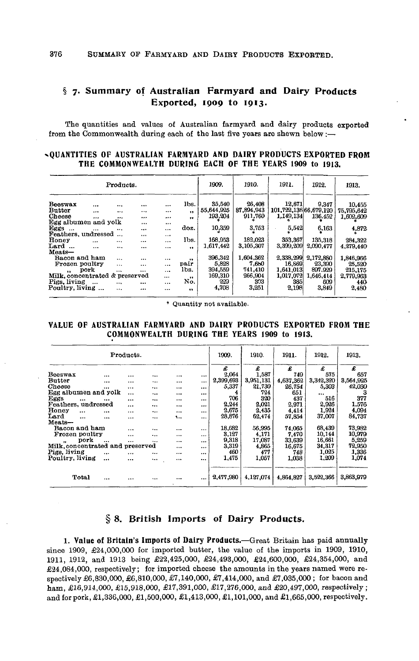# **§ 7. Summary of Australian Farmyard and Dairy Products Exported, 1909 to 1913.**

The quantities and values of Australian farmyard and dairy products exported from the Commonwealth during each of the last five years are shewn below :—

## **^QUANTITIES OF AUSTRALIAN FARMYARD AND DAIRY PRODUCTS EXPORTED FROM THE COMMONWEALTH DURING EACH OF THE YEARS 1909 to 1913.**

|                                |          | Products. |          |          |                     | 1909.      | 1910.      | 1911.                  | 1912.     | 1913.      |
|--------------------------------|----------|-----------|----------|----------|---------------------|------------|------------|------------------------|-----------|------------|
| Beeswax                        |          |           | $\cdots$ | $\cdots$ | lbs.                | 35,540     | 26,408     | 12,671                 | 9,347     | 10,455     |
| <b>Butter</b>                  | $\cdots$ | $\cdots$  |          | $\cdots$ | .,                  | 55,644,925 | 87.894.943 | 101,722,136 66,679,120 |           | 75,795,642 |
| Cheese                         | $\cdots$ | $\cdots$  |          |          | $^{\bullet}$        | 193.204    | 911,760    | 1,149,134              | 136.452   | 1,602,609  |
| Egg albumen and yolk           |          |           | $\cdots$ | $\cdots$ |                     |            |            |                        |           |            |
| Eggs $\ldots$                  | $\cdots$ | $\cdots$  |          | $\cdots$ | doz.                | 10,359     | 3,753      | 5,542                  | 6.163     | 4.872      |
| Feathers, undressed            |          | $\ddotsc$ |          | $\cdots$ |                     |            |            |                        |           |            |
| Honey                          |          | $\cdots$  | $\cdots$ |          | lbs.                | 168,953    | 182,023    | 353,367                | 135,318   | 284.322    |
| Lard                           | $\cdots$ | $\cdots$  |          |          | $\bullet$           | 1.617.442  | 3.105,307  | 3,399,209              | 2,090.477 | 4,279,440  |
| Meats-                         |          |           |          |          |                     |            |            |                        |           |            |
| Bacon and ham                  |          | $\ddotsc$ | $\cdots$ | $\cdots$ | $^{\bullet}$        | 396,342    | 1,604,362  | 2,338,299              | 2,172,880 | 1.846.966  |
| Frozen poultry                 |          | $\cdots$  | $\cdots$ |          | pair                | 5.828      | 7.650      | 16.869                 | 23,390    | 25,520     |
| $\ddot{\phantom{a}}$           | pork     |           | $\cdots$ | $\cdots$ | lbs.                | 394,559    | 741,410    | 1,641,013              | 897,929   | 215,175    |
| Milk, concentrated & preserved |          |           |          |          | $\cdots$            | 169,310    | 266,904    | 1,017,072              | 1,646.414 | 2,779,963  |
| Pigs, living                   | $\cdots$ | $\cdots$  | $\cdots$ |          | No.                 | 229        | 303        | 385                    | 609       | 440        |
| Poultry, living                |          | $\cdots$  |          |          | $\ddot{\mathbf{r}}$ | 4,708      | 3,251      | 2,198                  | 3,849     | 2.480      |
|                                |          |           |          |          |                     |            |            |                        |           |            |

\* Quantity not available.

## **VALUE OF AUSTRALIAN FARMYARD AND DAIRY PRODUCTS EXPORTED FROM THE COMMONWEALTH DURING THE YEARS 1909 to 1913.**

|                                 |           | Products. |           |          |          | 1909.     | 1910.     | 1911.     | 1912.     | 1913.     |
|---------------------------------|-----------|-----------|-----------|----------|----------|-----------|-----------|-----------|-----------|-----------|
|                                 |           |           |           |          |          | £         | £         | £         | £         | £         |
| Beeswax                         | $\cdots$  | $\cdots$  |           |          |          | 2,064     | 1.587     | 749       | 575       | 657       |
| <b>Butter</b>                   | $\cdots$  | $\cdots$  |           | $\cdots$ | $\cdots$ | 2,399,693 | 3,951,131 | 4.637.362 | 3.342.320 | 3.564.925 |
| Cheese                          | $\cdots$  |           | $\cdots$  | $\cdots$ | $\cdots$ | 5,337     | 21,730    | 26,754    | 5,303     | 42,030    |
| Egg albumen and yolk            |           |           |           | $\cdots$ | $\cdots$ | 4         | 724       | 651       |           | з         |
| Eggs<br>$\cdots$                | $\ddotsc$ | $\cdots$  |           | $\cdots$ |          | 706       | 320       | 437       | 516       | 377       |
| Feathers, undressed             |           | $\cdots$  |           | $\cdots$ | $\cdots$ | 2.244     | 2.021     | 2,971     | 2,926     | 1.576     |
| Honey<br>$\cdots$               | $\ddotsc$ |           |           | $\cdots$ | $\cdots$ | 2.675     | 2,435     | 4,414     | 1.924     | 4.094     |
| Lard<br>$\cdots$                | $\ddotsc$ |           |           | ۰.,      | $\cdots$ | 28,876    | 62,474    | 57,854    | 37,007    | 84,737    |
| $Mean-$                         |           |           |           |          |          |           |           |           |           |           |
| Bacon and ham                   |           | $\cdots$  | $\cdots$  |          |          | 18,682    | 56.995    | 74.065    | 68,439    | 73,982    |
| Frozen poultry                  |           |           | $\ddotsc$ |          |          | 3,127     | 4,171     | 7,470     | 10,144    | 10,979    |
| pork<br>                        |           |           | $\ddotsc$ |          | $\cdots$ | 9,318     | 17.087    | 33,639    | 16.661    | 5,259     |
| Milk.concentrated and preserved |           |           |           |          |          | 3,319     | 4.865     | 16.675    | 34,317    | 72,950    |
| Pigs, living                    |           | $\cdots$  |           |          |          | 460       | 477       | 748       | 1.025     | 1.336     |
| Poultry, living                 |           |           | $\cdots$  |          |          | 1,475     | 1.057     | 1,038     | 1.209     | 1,074     |
| <b>Total</b>                    |           |           | $\cdots$  |          |          | 2,477,980 | 4,127,074 | 4,864,827 | 3.522.366 | 3.863.979 |

# **§ 8. British Imports of Dairy Products.**

**1. Value of Britain's Imports of Dairy Products.**—Great Britain has paid annually since 1909, £24,000,000 for imported butter, the value of the imports in 1909, 1910, 1911, 1912, and 1913 being £22,425,000, £24,493,000, £24,600,000, £24,354,000, and  $\pounds24,084,000$ , respectively; for imported cheese the amounts in the years named were respectively £6,830,000, £6,810,000, £7,140,000, £7,414,000, and £7,035,000; for bacon and ham, £16,914,000, £15,918,000, £17,391,000, £17,276,000, and £20,497,000, respectively ; and for pork, £1,336,000, £1,500,000, £1,413,000, £1,101,000, and £1,665,000, respectively.